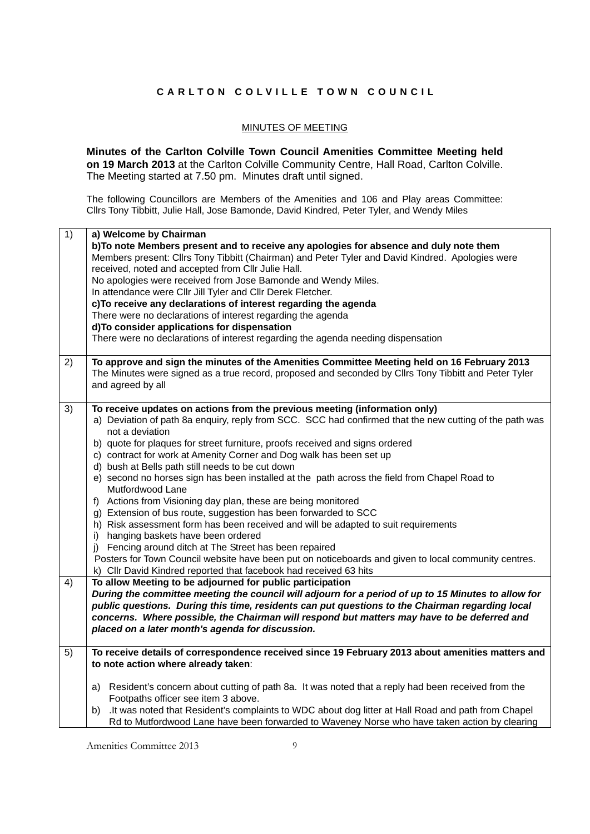## **CARLTON COLVILLE TOWN COUNCIL**

## MINUTES OF MEETING

**Minutes of the Carlton Colville Town Council Amenities Committee Meeting held on 19 March 2013** at the Carlton Colville Community Centre, Hall Road, Carlton Colville. The Meeting started at 7.50 pm. Minutes draft until signed.

The following Councillors are Members of the Amenities and 106 and Play areas Committee: Cllrs Tony Tibbitt, Julie Hall, Jose Bamonde, David Kindred, Peter Tyler, and Wendy Miles

| 1) | a) Welcome by Chairman                                                                                    |
|----|-----------------------------------------------------------------------------------------------------------|
|    | b)To note Members present and to receive any apologies for absence and duly note them                     |
|    | Members present: Cllrs Tony Tibbitt (Chairman) and Peter Tyler and David Kindred. Apologies were          |
|    | received, noted and accepted from Cllr Julie Hall.                                                        |
|    | No apologies were received from Jose Bamonde and Wendy Miles.                                             |
|    | In attendance were Cllr Jill Tyler and Cllr Derek Fletcher.                                               |
|    | c) To receive any declarations of interest regarding the agenda                                           |
|    | There were no declarations of interest regarding the agenda                                               |
|    |                                                                                                           |
|    | d) To consider applications for dispensation                                                              |
|    | There were no declarations of interest regarding the agenda needing dispensation                          |
|    |                                                                                                           |
| 2) | To approve and sign the minutes of the Amenities Committee Meeting held on 16 February 2013               |
|    | The Minutes were signed as a true record, proposed and seconded by Cllrs Tony Tibbitt and Peter Tyler     |
|    | and agreed by all                                                                                         |
|    |                                                                                                           |
| 3) | To receive updates on actions from the previous meeting (information only)                                |
|    | a) Deviation of path 8a enquiry, reply from SCC. SCC had confirmed that the new cutting of the path was   |
|    | not a deviation                                                                                           |
|    | b) quote for plaques for street furniture, proofs received and signs ordered                              |
|    | c) contract for work at Amenity Corner and Dog walk has been set up                                       |
|    | d) bush at Bells path still needs to be cut down                                                          |
|    | e) second no horses sign has been installed at the path across the field from Chapel Road to              |
|    | Mutfordwood Lane                                                                                          |
|    | f) Actions from Visioning day plan, these are being monitored                                             |
|    | g) Extension of bus route, suggestion has been forwarded to SCC                                           |
|    | h) Risk assessment form has been received and will be adapted to suit requirements                        |
|    |                                                                                                           |
|    | i) hanging baskets have been ordered                                                                      |
|    | j) Fencing around ditch at The Street has been repaired                                                   |
|    | Posters for Town Council website have been put on noticeboards and given to local community centres.      |
|    | k) Cllr David Kindred reported that facebook had received 63 hits                                         |
| 4) | To allow Meeting to be adjourned for public participation                                                 |
|    | During the committee meeting the council will adjourn for a period of up to 15 Minutes to allow for       |
|    | public questions. During this time, residents can put questions to the Chairman regarding local           |
|    | concerns. Where possible, the Chairman will respond but matters may have to be deferred and               |
|    | placed on a later month's agenda for discussion.                                                          |
|    |                                                                                                           |
| 5) | To receive details of correspondence received since 19 February 2013 about amenities matters and          |
|    | to note action where already taken:                                                                       |
|    |                                                                                                           |
|    | a) Resident's concern about cutting of path 8a. It was noted that a reply had been received from the      |
|    | Footpaths officer see item 3 above.                                                                       |
|    | It was noted that Resident's complaints to WDC about dog litter at Hall Road and path from Chapel.<br>b). |
|    | Rd to Mutfordwood Lane have been forwarded to Waveney Norse who have taken action by clearing             |
|    |                                                                                                           |